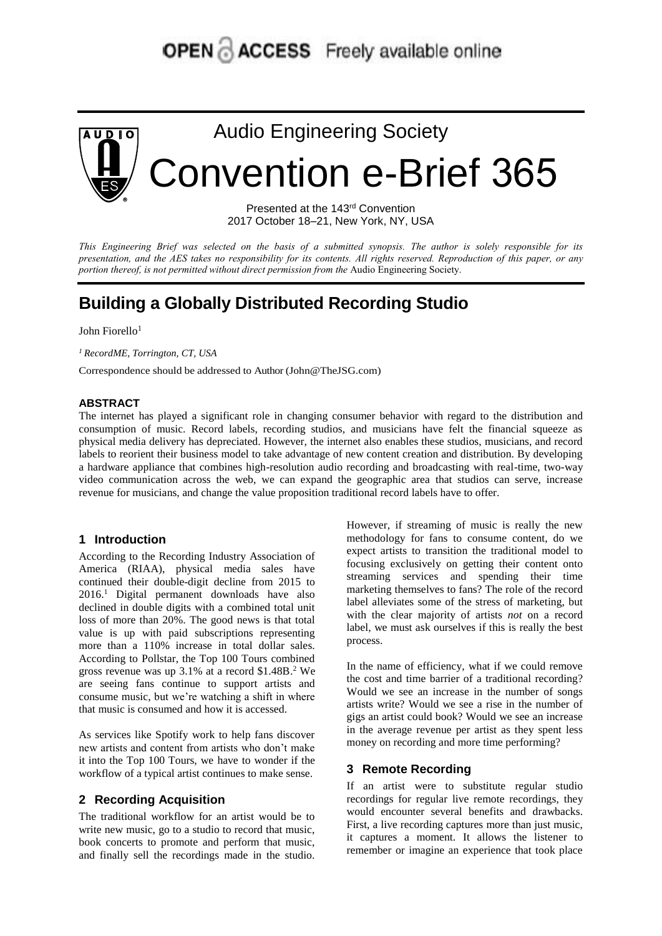# **OPEN & ACCESS** Freely available online



Audio Engineering Society Convention e-Brief 365

> Presented at the 143rd Convention 2017 October 18–21, New York, NY, USA

This Engineering Brief was selected on the basis of a submitted synopsis. The author is solely responsible for its presentation, and the AES takes no responsibility for its contents. All rights reserved. Reproduction of this paper, or any *portion thereof, is not permitted without direct permission from the* Audio Engineering Society.

# **Building a Globally Distributed Recording Studio**

John Fiorello<sup>1</sup>

*<sup>1</sup> RecordME, Torrington, CT, USA*

Correspondence should be addressed to Author (John@TheJSG.com)

#### **ABSTRACT**

The internet has played a significant role in changing consumer behavior with regard to the distribution and consumption of music. Record labels, recording studios, and musicians have felt the financial squeeze as physical media delivery has depreciated. However, the internet also enables these studios, musicians, and record labels to reorient their business model to take advantage of new content creation and distribution. By developing a hardware appliance that combines high-resolution audio recording and broadcasting with real-time, two-way video communication across the web, we can expand the geographic area that studios can serve, increase revenue for musicians, and change the value proposition traditional record labels have to offer.

#### **1 Introduction**

According to the Recording Industry Association of America (RIAA), physical media sales have continued their double-digit decline from 2015 to 2016. <sup>1</sup> Digital permanent downloads have also declined in double digits with a combined total unit loss of more than 20%. The good news is that total value is up with paid subscriptions representing more than a 110% increase in total dollar sales. According to Pollstar, the Top 100 Tours combined gross revenue was up 3.1% at a record \$1.48B. <sup>2</sup> We are seeing fans continue to support artists and consume music, but we're watching a shift in where that music is consumed and how it is accessed.

As services like Spotify work to help fans discover new artists and content from artists who don't make it into the Top 100 Tours, we have to wonder if the workflow of a typical artist continues to make sense.

#### **2 Recording Acquisition**

The traditional workflow for an artist would be to write new music, go to a studio to record that music, book concerts to promote and perform that music, and finally sell the recordings made in the studio. However, if streaming of music is really the new methodology for fans to consume content, do we expect artists to transition the traditional model to focusing exclusively on getting their content onto streaming services and spending their time marketing themselves to fans? The role of the record label alleviates some of the stress of marketing, but with the clear majority of artists *not* on a record label, we must ask ourselves if this is really the best process.

In the name of efficiency, what if we could remove the cost and time barrier of a traditional recording? Would we see an increase in the number of songs artists write? Would we see a rise in the number of gigs an artist could book? Would we see an increase in the average revenue per artist as they spent less money on recording and more time performing?

#### **3 Remote Recording**

If an artist were to substitute regular studio recordings for regular live remote recordings, they would encounter several benefits and drawbacks. First, a live recording captures more than just music, it captures a moment. It allows the listener to remember or imagine an experience that took place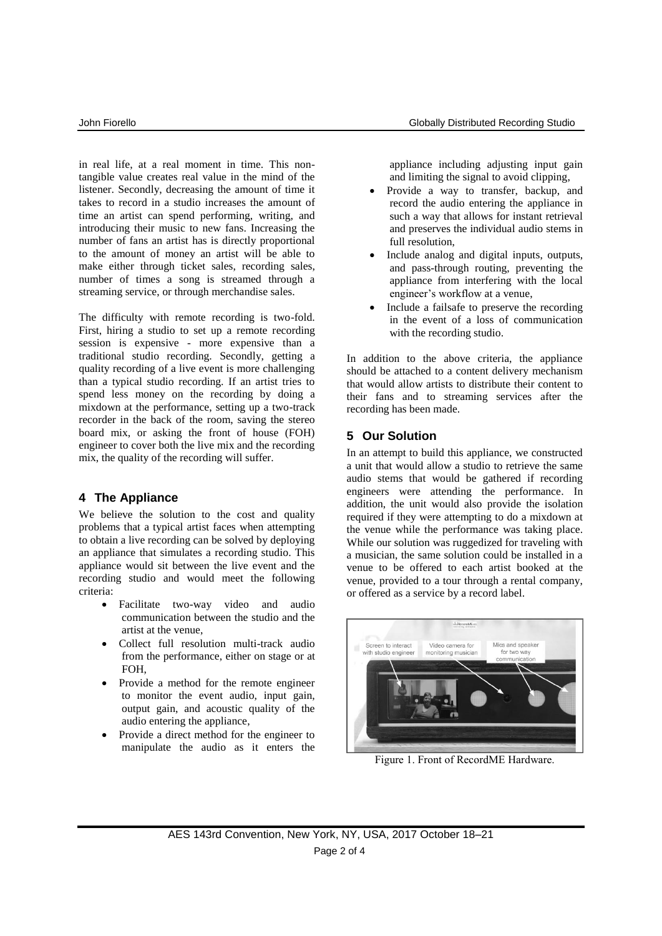in real life, at a real moment in time. This nontangible value creates real value in the mind of the listener. Secondly, decreasing the amount of time it takes to record in a studio increases the amount of time an artist can spend performing, writing, and introducing their music to new fans. Increasing the number of fans an artist has is directly proportional to the amount of money an artist will be able to make either through ticket sales, recording sales, number of times a song is streamed through a streaming service, or through merchandise sales.

The difficulty with remote recording is two-fold. First, hiring a studio to set up a remote recording session is expensive - more expensive than a traditional studio recording. Secondly, getting a quality recording of a live event is more challenging than a typical studio recording. If an artist tries to spend less money on the recording by doing a mixdown at the performance, setting up a two-track recorder in the back of the room, saving the stereo board mix, or asking the front of house (FOH) engineer to cover both the live mix and the recording mix, the quality of the recording will suffer.

# **4 The Appliance**

We believe the solution to the cost and quality problems that a typical artist faces when attempting to obtain a live recording can be solved by deploying an appliance that simulates a recording studio. This appliance would sit between the live event and the recording studio and would meet the following criteria:

- Facilitate two-way video and audio communication between the studio and the artist at the venue,
- Collect full resolution multi-track audio from the performance, either on stage or at FOH,
- Provide a method for the remote engineer to monitor the event audio, input gain, output gain, and acoustic quality of the audio entering the appliance,
- Provide a direct method for the engineer to manipulate the audio as it enters the

appliance including adjusting input gain and limiting the signal to avoid clipping,

- Provide a way to transfer, backup, and record the audio entering the appliance in such a way that allows for instant retrieval and preserves the individual audio stems in full resolution,
- Include analog and digital inputs, outputs, and pass-through routing, preventing the appliance from interfering with the local engineer's workflow at a venue,
- Include a failsafe to preserve the recording in the event of a loss of communication with the recording studio.

In addition to the above criteria, the appliance should be attached to a content delivery mechanism that would allow artists to distribute their content to their fans and to streaming services after the recording has been made.

# **5 Our Solution**

In an attempt to build this appliance, we constructed a unit that would allow a studio to retrieve the same audio stems that would be gathered if recording engineers were attending the performance. In addition, the unit would also provide the isolation required if they were attempting to do a mixdown at the venue while the performance was taking place. While our solution was ruggedized for traveling with a musician, the same solution could be installed in a venue to be offered to each artist booked at the venue, provided to a tour through a rental company, or offered as a service by a record label.



Figure 1. Front of RecordME Hardware.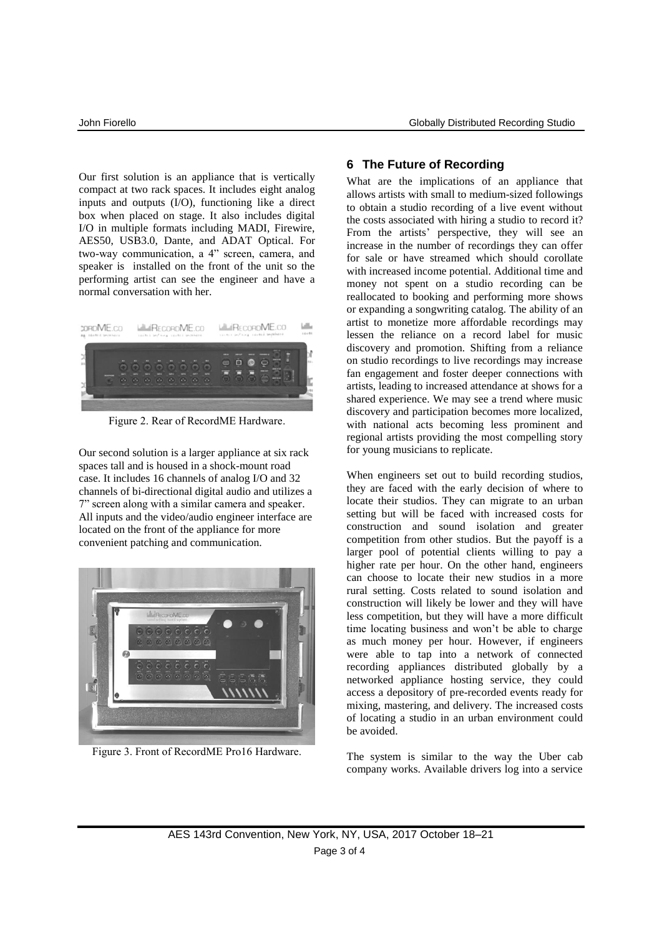Our first solution is an appliance that is vertically compact at two rack spaces. It includes eight analog inputs and outputs (I/O), functioning like a direct box when placed on stage. It also includes digital I/O in multiple formats including MADI, Firewire, AES50, USB3.0, Dante, and ADAT Optical. For two-way communication, a 4" screen, camera, and speaker is installed on the front of the unit so the performing artist can see the engineer and have a normal conversation with her.



Figure 2. Rear of RecordME Hardware.

Our second solution is a larger appliance at six rack spaces tall and is housed in a shock-mount road case. It includes 16 channels of analog I/O and 32 channels of bi-directional digital audio and utilizes a 7" screen along with a similar camera and speaker. All inputs and the video/audio engineer interface are located on the front of the appliance for more convenient patching and communication.



Figure 3. Front of RecordME Pro16 Hardware.

### **6 The Future of Recording**

What are the implications of an appliance that allows artists with small to medium-sized followings to obtain a studio recording of a live event without the costs associated with hiring a studio to record it? From the artists' perspective, they will see an increase in the number of recordings they can offer for sale or have streamed which should corollate with increased income potential. Additional time and money not spent on a studio recording can be reallocated to booking and performing more shows or expanding a songwriting catalog. The ability of an artist to monetize more affordable recordings may lessen the reliance on a record label for music discovery and promotion. Shifting from a reliance on studio recordings to live recordings may increase fan engagement and foster deeper connections with artists, leading to increased attendance at shows for a shared experience. We may see a trend where music discovery and participation becomes more localized, with national acts becoming less prominent and regional artists providing the most compelling story for young musicians to replicate.

When engineers set out to build recording studios, they are faced with the early decision of where to locate their studios. They can migrate to an urban setting but will be faced with increased costs for construction and sound isolation and greater competition from other studios. But the payoff is a larger pool of potential clients willing to pay a higher rate per hour. On the other hand, engineers can choose to locate their new studios in a more rural setting. Costs related to sound isolation and construction will likely be lower and they will have less competition, but they will have a more difficult time locating business and won't be able to charge as much money per hour. However, if engineers were able to tap into a network of connected recording appliances distributed globally by a networked appliance hosting service, they could access a depository of pre-recorded events ready for mixing, mastering, and delivery. The increased costs of locating a studio in an urban environment could be avoided.

The system is similar to the way the Uber cab company works. Available drivers log into a service